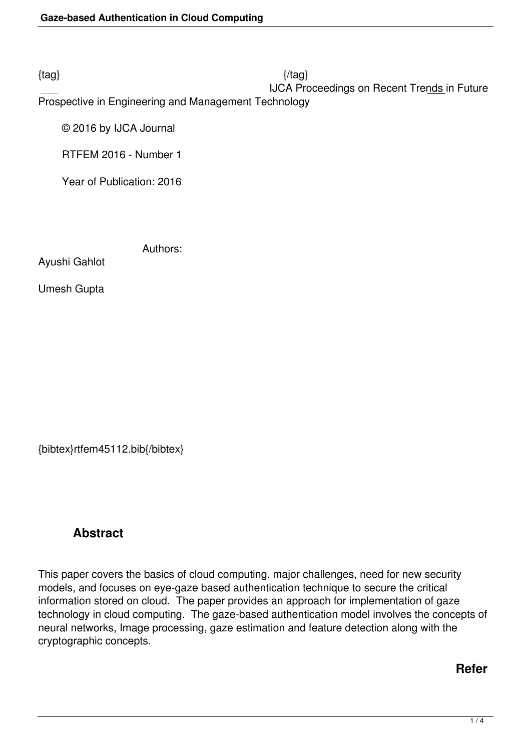### IJCA Proceedings on Recent Trends in Future

Prospective in Engineering and Management Technology

© 2016 by IJCA Journal

RTFEM 2016 - Number 1

Year of Publication: 2016

Authors:

Ayushi Gahlot

Umesh Gupta

{bibtex}rtfem45112.bib{/bibtex}

# **Abstract**

This paper covers the basics of cloud computing, major challenges, need for new security models, and focuses on eye-gaze based authentication technique to secure the critical information stored on cloud. The paper provides an approach for implementation of gaze technology in cloud computing. The gaze-based authentication model involves the concepts of neural networks, Image processing, gaze estimation and feature detection along with the cryptographic concepts.

## **Refer**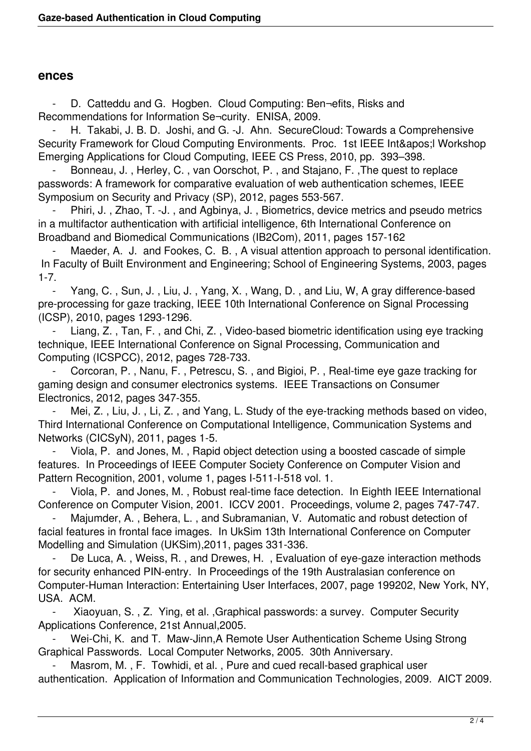#### **ences**

 - D. Catteddu and G. Hogben. Cloud Computing: Ben¬efits, Risks and Recommendations for Information Se¬curity. ENISA, 2009.

H. Takabi, J. B. D. Joshi, and G. -J. Ahn. SecureCloud: Towards a Comprehensive Security Framework for Cloud Computing Environments. Proc. 1st IEEE Int&apos: I Workshop Emerging Applications for Cloud Computing, IEEE CS Press, 2010, pp. 393–398.

Bonneau, J., Herley, C., van Oorschot, P., and Stajano, F., The quest to replace passwords: A framework for comparative evaluation of web authentication schemes, IEEE Symposium on Security and Privacy (SP), 2012, pages 553-567.

Phiri, J., Zhao, T. -J., and Agbinya, J., Biometrics, device metrics and pseudo metrics in a multifactor authentication with artificial intelligence, 6th International Conference on Broadband and Biomedical Communications (IB2Com), 2011, pages 157-162

Maeder, A. J. and Fookes, C. B., A visual attention approach to personal identification. In Faculty of Built Environment and Engineering; School of Engineering Systems, 2003, pages 1-7.

Yang, C., Sun, J., Liu, J., Yang, X., Wang, D., and Liu, W, A gray difference-based pre-processing for gaze tracking, IEEE 10th International Conference on Signal Processing (ICSP), 2010, pages 1293-1296.

 - Liang, Z. , Tan, F. , and Chi, Z. , Video-based biometric identification using eye tracking technique, IEEE International Conference on Signal Processing, Communication and Computing (ICSPCC), 2012, pages 728-733.

 - Corcoran, P. , Nanu, F. , Petrescu, S. , and Bigioi, P. , Real-time eye gaze tracking for gaming design and consumer electronics systems. IEEE Transactions on Consumer Electronics, 2012, pages 347-355.

Mei, Z., Liu, J., Li, Z., and Yang, L. Study of the eye-tracking methods based on video, Third International Conference on Computational Intelligence, Communication Systems and Networks (CICSyN), 2011, pages 1-5.

 - Viola, P. and Jones, M. , Rapid object detection using a boosted cascade of simple features. In Proceedings of IEEE Computer Society Conference on Computer Vision and Pattern Recognition, 2001, volume 1, pages I-511-I-518 vol. 1.

Viola, P. and Jones, M., Robust real-time face detection. In Eighth IEEE International Conference on Computer Vision, 2001. ICCV 2001. Proceedings, volume 2, pages 747-747.

Majumder, A., Behera, L., and Subramanian, V. Automatic and robust detection of facial features in frontal face images. In UkSim 13th International Conference on Computer Modelling and Simulation (UKSim),2011, pages 331-336.

De Luca, A., Weiss, R., and Drewes, H., Evaluation of eye-gaze interaction methods for security enhanced PIN-entry. In Proceedings of the 19th Australasian conference on Computer-Human Interaction: Entertaining User Interfaces, 2007, page 199202, New York, NY, USA. ACM.

 - Xiaoyuan, S. , Z. Ying, et al. ,Graphical passwords: a survey. Computer Security Applications Conference, 21st Annual,2005.

Wei-Chi, K. and T. Maw-Jinn,A Remote User Authentication Scheme Using Strong Graphical Passwords. Local Computer Networks, 2005. 30th Anniversary.

Masrom, M., F. Towhidi, et al., Pure and cued recall-based graphical user authentication. Application of Information and Communication Technologies, 2009. AICT 2009.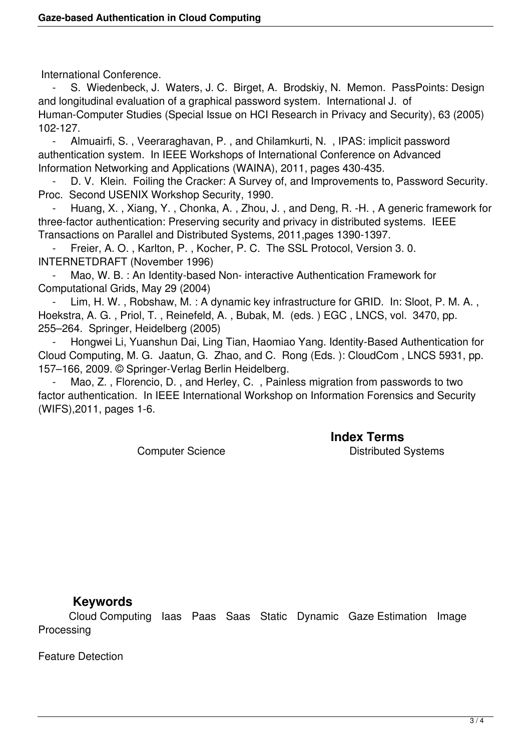International Conference.

 - S. Wiedenbeck, J. Waters, J. C. Birget, A. Brodskiy, N. Memon. PassPoints: Design and longitudinal evaluation of a graphical password system. International J. of Human-Computer Studies (Special Issue on HCI Research in Privacy and Security), 63 (2005) 102-127.

 - Almuairfi, S. , Veeraraghavan, P. , and Chilamkurti, N. , IPAS: implicit password authentication system. In IEEE Workshops of International Conference on Advanced Information Networking and Applications (WAINA), 2011, pages 430-435.

D. V. Klein. Foiling the Cracker: A Survey of, and Improvements to, Password Security. Proc. Second USENIX Workshop Security, 1990.

Huang, X., Xiang, Y., Chonka, A., Zhou, J., and Deng, R. -H., A generic framework for three-factor authentication: Preserving security and privacy in distributed systems. IEEE Transactions on Parallel and Distributed Systems, 2011,pages 1390-1397.

Freier, A. O., Karlton, P., Kocher, P. C. The SSL Protocol, Version 3.0. INTERNETDRAFT (November 1996)

Mao, W. B. : An Identity-based Non- interactive Authentication Framework for Computational Grids, May 29 (2004)

Lim, H. W., Robshaw, M.: A dynamic key infrastructure for GRID. In: Sloot, P. M. A., Hoekstra, A. G. , Priol, T. , Reinefeld, A. , Bubak, M. (eds. ) EGC , LNCS, vol. 3470, pp. 255–264. Springer, Heidelberg (2005)

Hongwei Li, Yuanshun Dai, Ling Tian, Haomiao Yang. Identity-Based Authentication for Cloud Computing, M. G. Jaatun, G. Zhao, and C. Rong (Eds. ): CloudCom , LNCS 5931, pp. 157–166, 2009. © Springer-Verlag Berlin Heidelberg.

Mao, Z., Florencio, D., and Herley, C., Painless migration from passwords to two factor authentication. In IEEE International Workshop on Information Forensics and Security (WIFS),2011, pages 1-6.

**Index Terms** 

Computer Science **Distributed Systems** 

#### **Keywords**

 Cloud Computing Iaas Paas Saas Static Dynamic Gaze Estimation Image Processing

Feature Detection